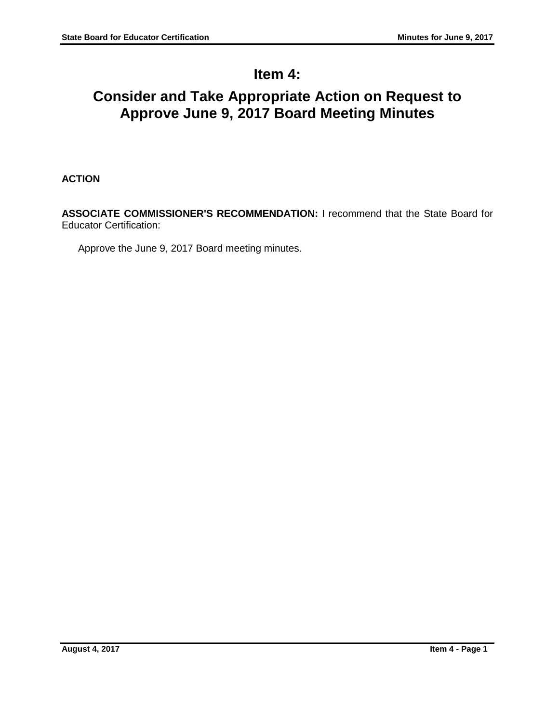# **Item 4:**

# **Consider and Take Appropriate Action on Request to Approve June 9, 2017 Board Meeting Minutes**

# **ACTION**

**ASSOCIATE COMMISSIONER'S RECOMMENDATION:** I recommend that the State Board for Educator Certification:

Approve the June 9, 2017 Board meeting minutes.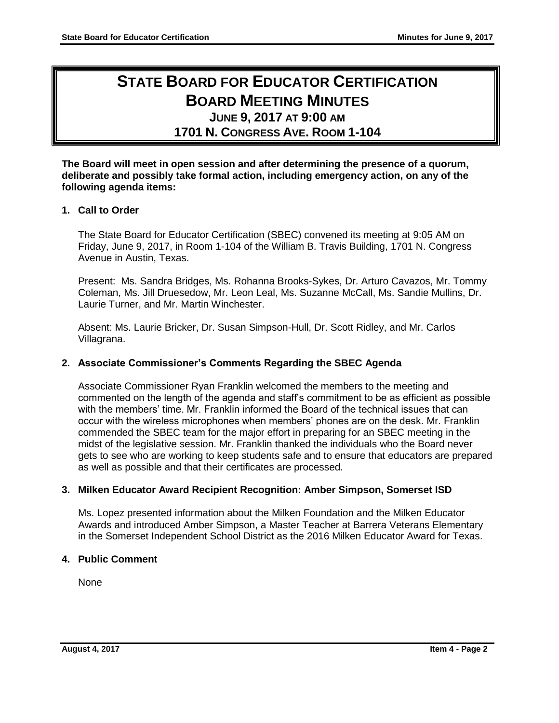# **STATE BOARD FOR EDUCATOR CERTIFICATION BOARD MEETING MINUTES JUNE 9, 2017 AT 9:00 AM**

**1701 N. CONGRESS AVE. ROOM 1-104**

**The Board will meet in open session and after determining the presence of a quorum, deliberate and possibly take formal action, including emergency action, on any of the following agenda items:**

## **1. Call to Order**

The State Board for Educator Certification (SBEC) convened its meeting at 9:05 AM on Friday, June 9, 2017, in Room 1-104 of the William B. Travis Building, 1701 N. Congress Avenue in Austin, Texas.

Present: Ms. Sandra Bridges, Ms. Rohanna Brooks-Sykes, Dr. Arturo Cavazos, Mr. Tommy Coleman, Ms. Jill Druesedow, Mr. Leon Leal, Ms. Suzanne McCall, Ms. Sandie Mullins, Dr. Laurie Turner, and Mr. Martin Winchester.

Absent: Ms. Laurie Bricker, Dr. Susan Simpson-Hull, Dr. Scott Ridley, and Mr. Carlos Villagrana.

## **2. Associate Commissioner's Comments Regarding the SBEC Agenda**

Associate Commissioner Ryan Franklin welcomed the members to the meeting and commented on the length of the agenda and staff's commitment to be as efficient as possible with the members' time. Mr. Franklin informed the Board of the technical issues that can occur with the wireless microphones when members' phones are on the desk. Mr. Franklin commended the SBEC team for the major effort in preparing for an SBEC meeting in the midst of the legislative session. Mr. Franklin thanked the individuals who the Board never gets to see who are working to keep students safe and to ensure that educators are prepared as well as possible and that their certificates are processed.

## **3. Milken Educator Award Recipient Recognition: Amber Simpson, Somerset ISD**

Ms. Lopez presented information about the Milken Foundation and the Milken Educator Awards and introduced Amber Simpson, a Master Teacher at Barrera Veterans Elementary in the Somerset Independent School District as the 2016 Milken Educator Award for Texas.

## **4. Public Comment**

None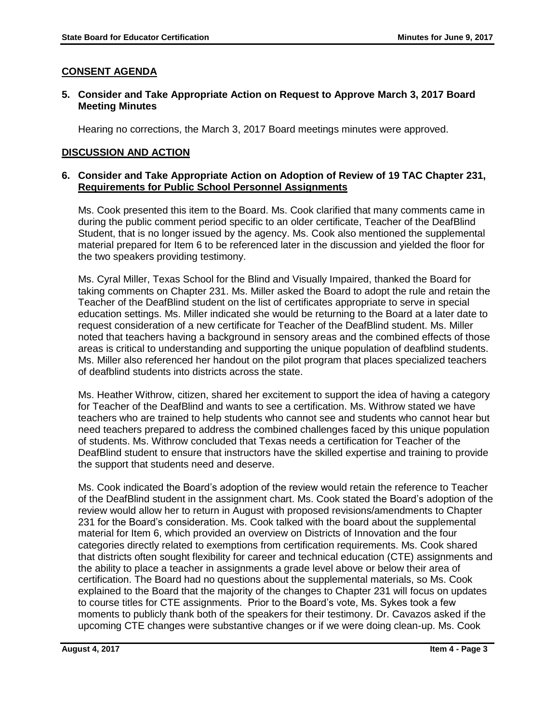## **CONSENT AGENDA**

## **5. Consider and Take Appropriate Action on Request to Approve March 3, 2017 Board Meeting Minutes**

Hearing no corrections, the March 3, 2017 Board meetings minutes were approved.

## **DISCUSSION AND ACTION**

## **6. Consider and Take Appropriate Action on Adoption of Review of 19 TAC Chapter 231, Requirements for Public School Personnel Assignments**

Ms. Cook presented this item to the Board. Ms. Cook clarified that many comments came in during the public comment period specific to an older certificate, Teacher of the DeafBlind Student, that is no longer issued by the agency. Ms. Cook also mentioned the supplemental material prepared for Item 6 to be referenced later in the discussion and yielded the floor for the two speakers providing testimony.

Ms. Cyral Miller, Texas School for the Blind and Visually Impaired, thanked the Board for taking comments on Chapter 231. Ms. Miller asked the Board to adopt the rule and retain the Teacher of the DeafBlind student on the list of certificates appropriate to serve in special education settings. Ms. Miller indicated she would be returning to the Board at a later date to request consideration of a new certificate for Teacher of the DeafBlind student. Ms. Miller noted that teachers having a background in sensory areas and the combined effects of those areas is critical to understanding and supporting the unique population of deafblind students. Ms. Miller also referenced her handout on the pilot program that places specialized teachers of deafblind students into districts across the state.

Ms. Heather Withrow, citizen, shared her excitement to support the idea of having a category for Teacher of the DeafBlind and wants to see a certification. Ms. Withrow stated we have teachers who are trained to help students who cannot see and students who cannot hear but need teachers prepared to address the combined challenges faced by this unique population of students. Ms. Withrow concluded that Texas needs a certification for Teacher of the DeafBlind student to ensure that instructors have the skilled expertise and training to provide the support that students need and deserve.

Ms. Cook indicated the Board's adoption of the review would retain the reference to Teacher of the DeafBlind student in the assignment chart. Ms. Cook stated the Board's adoption of the review would allow her to return in August with proposed revisions/amendments to Chapter 231 for the Board's consideration. Ms. Cook talked with the board about the supplemental material for Item 6, which provided an overview on Districts of Innovation and the four categories directly related to exemptions from certification requirements. Ms. Cook shared that districts often sought flexibility for career and technical education (CTE) assignments and the ability to place a teacher in assignments a grade level above or below their area of certification. The Board had no questions about the supplemental materials, so Ms. Cook explained to the Board that the majority of the changes to Chapter 231 will focus on updates to course titles for CTE assignments. Prior to the Board's vote, Ms. Sykes took a few moments to publicly thank both of the speakers for their testimony. Dr. Cavazos asked if the upcoming CTE changes were substantive changes or if we were doing clean-up. Ms. Cook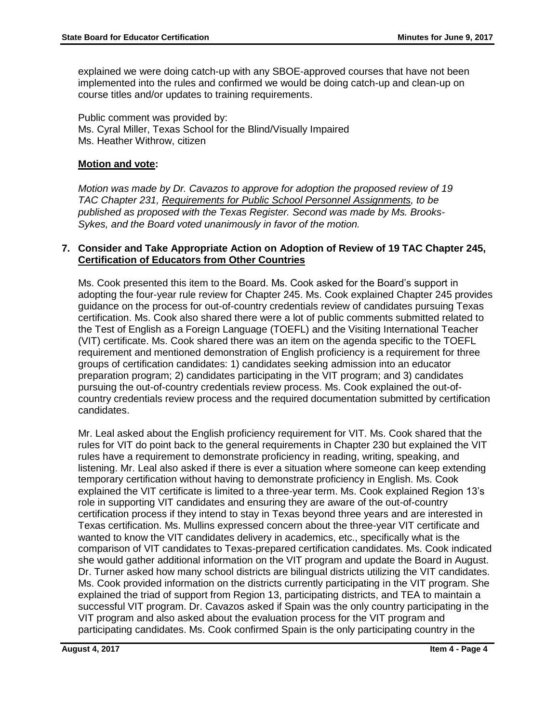explained we were doing catch-up with any SBOE-approved courses that have not been implemented into the rules and confirmed we would be doing catch-up and clean-up on course titles and/or updates to training requirements.

Public comment was provided by: Ms. Cyral Miller, Texas School for the Blind/Visually Impaired Ms. Heather Withrow, citizen

## **Motion and vote:**

*Motion was made by Dr. Cavazos to approve for adoption the proposed review of 19 TAC Chapter 231, Requirements for Public School Personnel Assignments, to be published as proposed with the Texas Register. Second was made by Ms. Brooks-Sykes, and the Board voted unanimously in favor of the motion.*

## **7. Consider and Take Appropriate Action on Adoption of Review of 19 TAC Chapter 245, Certification of Educators from Other Countries**

Ms. Cook presented this item to the Board. Ms. Cook asked for the Board's support in adopting the four-year rule review for Chapter 245. Ms. Cook explained Chapter 245 provides guidance on the process for out-of-country credentials review of candidates pursuing Texas certification. Ms. Cook also shared there were a lot of public comments submitted related to the Test of English as a Foreign Language (TOEFL) and the Visiting International Teacher (VIT) certificate. Ms. Cook shared there was an item on the agenda specific to the TOEFL requirement and mentioned demonstration of English proficiency is a requirement for three groups of certification candidates: 1) candidates seeking admission into an educator preparation program; 2) candidates participating in the VIT program; and 3) candidates pursuing the out-of-country credentials review process. Ms. Cook explained the out-ofcountry credentials review process and the required documentation submitted by certification candidates.

Mr. Leal asked about the English proficiency requirement for VIT. Ms. Cook shared that the rules for VIT do point back to the general requirements in Chapter 230 but explained the VIT rules have a requirement to demonstrate proficiency in reading, writing, speaking, and listening. Mr. Leal also asked if there is ever a situation where someone can keep extending temporary certification without having to demonstrate proficiency in English. Ms. Cook explained the VIT certificate is limited to a three-year term. Ms. Cook explained Region 13's role in supporting VIT candidates and ensuring they are aware of the out-of-country certification process if they intend to stay in Texas beyond three years and are interested in Texas certification. Ms. Mullins expressed concern about the three-year VIT certificate and wanted to know the VIT candidates delivery in academics, etc., specifically what is the comparison of VIT candidates to Texas-prepared certification candidates. Ms. Cook indicated she would gather additional information on the VIT program and update the Board in August. Dr. Turner asked how many school districts are bilingual districts utilizing the VIT candidates. Ms. Cook provided information on the districts currently participating in the VIT program. She explained the triad of support from Region 13, participating districts, and TEA to maintain a successful VIT program. Dr. Cavazos asked if Spain was the only country participating in the VIT program and also asked about the evaluation process for the VIT program and participating candidates. Ms. Cook confirmed Spain is the only participating country in the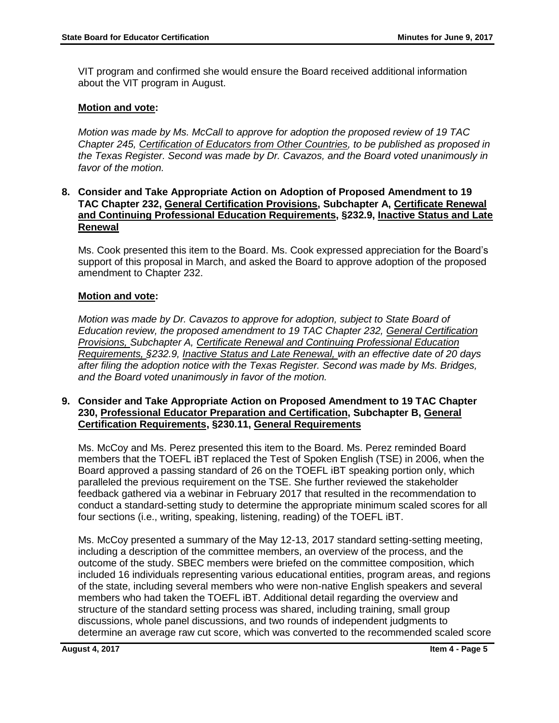VIT program and confirmed she would ensure the Board received additional information about the VIT program in August.

## **Motion and vote:**

*Motion was made by Ms. McCall to approve for adoption the proposed review of 19 TAC Chapter 245, Certification of Educators from Other Countries, to be published as proposed in the Texas Register. Second was made by Dr. Cavazos, and the Board voted unanimously in favor of the motion.*

### **8. Consider and Take Appropriate Action on Adoption of Proposed Amendment to 19 TAC Chapter 232, General Certification Provisions, Subchapter A, Certificate Renewal and Continuing Professional Education Requirements, §232.9, Inactive Status and Late Renewal**

Ms. Cook presented this item to the Board. Ms. Cook expressed appreciation for the Board's support of this proposal in March, and asked the Board to approve adoption of the proposed amendment to Chapter 232.

## **Motion and vote:**

*Motion was made by Dr. Cavazos to approve for adoption, subject to State Board of Education review, the proposed amendment to 19 TAC Chapter 232, General Certification Provisions, Subchapter A, Certificate Renewal and Continuing Professional Education Requirements, §232.9, Inactive Status and Late Renewal, with an effective date of 20 days after filing the adoption notice with the Texas Register. Second was made by Ms. Bridges, and the Board voted unanimously in favor of the motion.*

### **9. Consider and Take Appropriate Action on Proposed Amendment to 19 TAC Chapter 230, Professional Educator Preparation and Certification, Subchapter B, General Certification Requirements, §230.11, General Requirements**

Ms. McCoy and Ms. Perez presented this item to the Board. Ms. Perez reminded Board members that the TOEFL iBT replaced the Test of Spoken English (TSE) in 2006, when the Board approved a passing standard of 26 on the TOEFL iBT speaking portion only, which paralleled the previous requirement on the TSE. She further reviewed the stakeholder feedback gathered via a webinar in February 2017 that resulted in the recommendation to conduct a standard-setting study to determine the appropriate minimum scaled scores for all four sections (i.e., writing, speaking, listening, reading) of the TOEFL iBT.

Ms. McCoy presented a summary of the May 12-13, 2017 standard setting-setting meeting, including a description of the committee members, an overview of the process, and the outcome of the study. SBEC members were briefed on the committee composition, which included 16 individuals representing various educational entities, program areas, and regions of the state, including several members who were non-native English speakers and several members who had taken the TOEFL iBT. Additional detail regarding the overview and structure of the standard setting process was shared, including training, small group discussions, whole panel discussions, and two rounds of independent judgments to determine an average raw cut score, which was converted to the recommended scaled score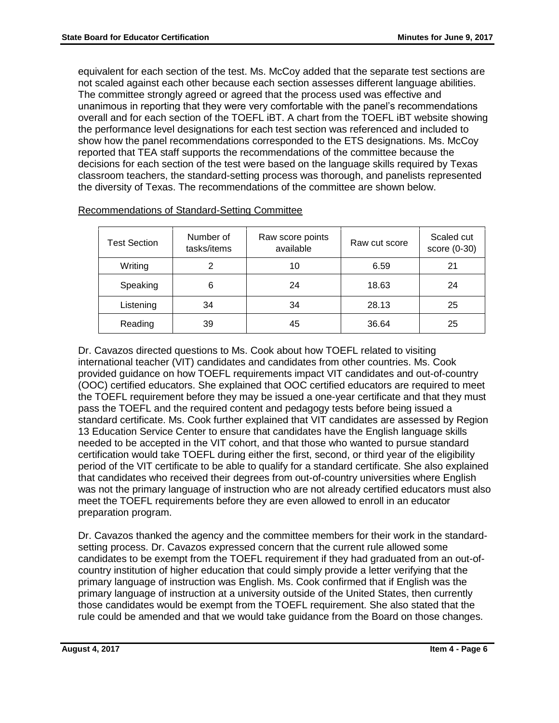equivalent for each section of the test. Ms. McCoy added that the separate test sections are not scaled against each other because each section assesses different language abilities. The committee strongly agreed or agreed that the process used was effective and unanimous in reporting that they were very comfortable with the panel's recommendations overall and for each section of the TOEFL iBT. A chart from the TOEFL iBT website showing the performance level designations for each test section was referenced and included to show how the panel recommendations corresponded to the ETS designations. Ms. McCoy reported that TEA staff supports the recommendations of the committee because the decisions for each section of the test were based on the language skills required by Texas classroom teachers, the standard-setting process was thorough, and panelists represented the diversity of Texas. The recommendations of the committee are shown below.

| <b>Test Section</b> | Number of<br>tasks/items | Raw score points<br>available | Raw cut score | Scaled cut<br>score (0-30) |
|---------------------|--------------------------|-------------------------------|---------------|----------------------------|
| Writing             | 2                        | 10                            | 6.59          | 21                         |
| Speaking            | 6                        | 24                            | 18.63         | 24                         |
| Listening           | 34                       | 34                            | 28.13         | 25                         |
| Reading             | 39                       | 45                            | 36.64         | 25                         |

Recommendations of Standard-Setting Committee

Dr. Cavazos directed questions to Ms. Cook about how TOEFL related to visiting international teacher (VIT) candidates and candidates from other countries. Ms. Cook provided guidance on how TOEFL requirements impact VIT candidates and out-of-country (OOC) certified educators. She explained that OOC certified educators are required to meet the TOEFL requirement before they may be issued a one-year certificate and that they must pass the TOEFL and the required content and pedagogy tests before being issued a standard certificate. Ms. Cook further explained that VIT candidates are assessed by Region 13 Education Service Center to ensure that candidates have the English language skills needed to be accepted in the VIT cohort, and that those who wanted to pursue standard certification would take TOEFL during either the first, second, or third year of the eligibility period of the VIT certificate to be able to qualify for a standard certificate. She also explained that candidates who received their degrees from out-of-country universities where English was not the primary language of instruction who are not already certified educators must also meet the TOEFL requirements before they are even allowed to enroll in an educator preparation program.

Dr. Cavazos thanked the agency and the committee members for their work in the standardsetting process. Dr. Cavazos expressed concern that the current rule allowed some candidates to be exempt from the TOEFL requirement if they had graduated from an out-ofcountry institution of higher education that could simply provide a letter verifying that the primary language of instruction was English. Ms. Cook confirmed that if English was the primary language of instruction at a university outside of the United States, then currently those candidates would be exempt from the TOEFL requirement. She also stated that the rule could be amended and that we would take guidance from the Board on those changes.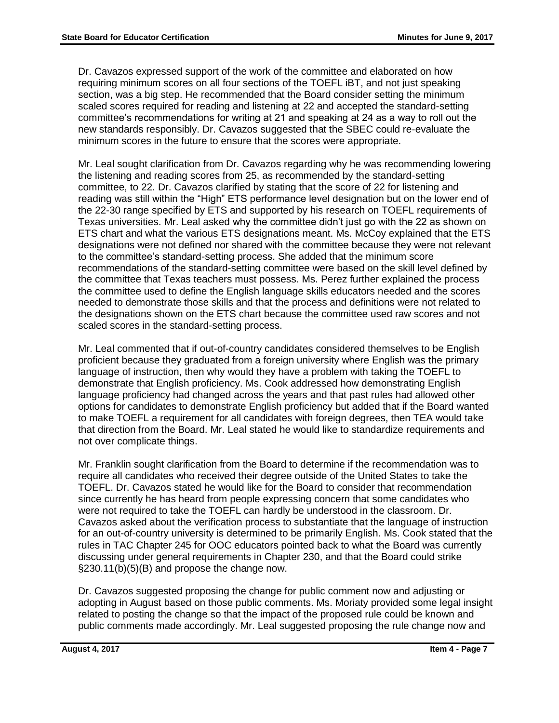Dr. Cavazos expressed support of the work of the committee and elaborated on how requiring minimum scores on all four sections of the TOEFL iBT, and not just speaking section, was a big step. He recommended that the Board consider setting the minimum scaled scores required for reading and listening at 22 and accepted the standard-setting committee's recommendations for writing at 21 and speaking at 24 as a way to roll out the new standards responsibly. Dr. Cavazos suggested that the SBEC could re-evaluate the minimum scores in the future to ensure that the scores were appropriate.

Mr. Leal sought clarification from Dr. Cavazos regarding why he was recommending lowering the listening and reading scores from 25, as recommended by the standard-setting committee, to 22. Dr. Cavazos clarified by stating that the score of 22 for listening and reading was still within the "High" ETS performance level designation but on the lower end of the 22-30 range specified by ETS and supported by his research on TOEFL requirements of Texas universities. Mr. Leal asked why the committee didn't just go with the 22 as shown on ETS chart and what the various ETS designations meant. Ms. McCoy explained that the ETS designations were not defined nor shared with the committee because they were not relevant to the committee's standard-setting process. She added that the minimum score recommendations of the standard-setting committee were based on the skill level defined by the committee that Texas teachers must possess. Ms. Perez further explained the process the committee used to define the English language skills educators needed and the scores needed to demonstrate those skills and that the process and definitions were not related to the designations shown on the ETS chart because the committee used raw scores and not scaled scores in the standard-setting process.

Mr. Leal commented that if out-of-country candidates considered themselves to be English proficient because they graduated from a foreign university where English was the primary language of instruction, then why would they have a problem with taking the TOEFL to demonstrate that English proficiency. Ms. Cook addressed how demonstrating English language proficiency had changed across the years and that past rules had allowed other options for candidates to demonstrate English proficiency but added that if the Board wanted to make TOEFL a requirement for all candidates with foreign degrees, then TEA would take that direction from the Board. Mr. Leal stated he would like to standardize requirements and not over complicate things.

Mr. Franklin sought clarification from the Board to determine if the recommendation was to require all candidates who received their degree outside of the United States to take the TOEFL. Dr. Cavazos stated he would like for the Board to consider that recommendation since currently he has heard from people expressing concern that some candidates who were not required to take the TOEFL can hardly be understood in the classroom. Dr. Cavazos asked about the verification process to substantiate that the language of instruction for an out-of-country university is determined to be primarily English. Ms. Cook stated that the rules in TAC Chapter 245 for OOC educators pointed back to what the Board was currently discussing under general requirements in Chapter 230, and that the Board could strike §230.11(b)(5)(B) and propose the change now.

Dr. Cavazos suggested proposing the change for public comment now and adjusting or adopting in August based on those public comments. Ms. Moriaty provided some legal insight related to posting the change so that the impact of the proposed rule could be known and public comments made accordingly. Mr. Leal suggested proposing the rule change now and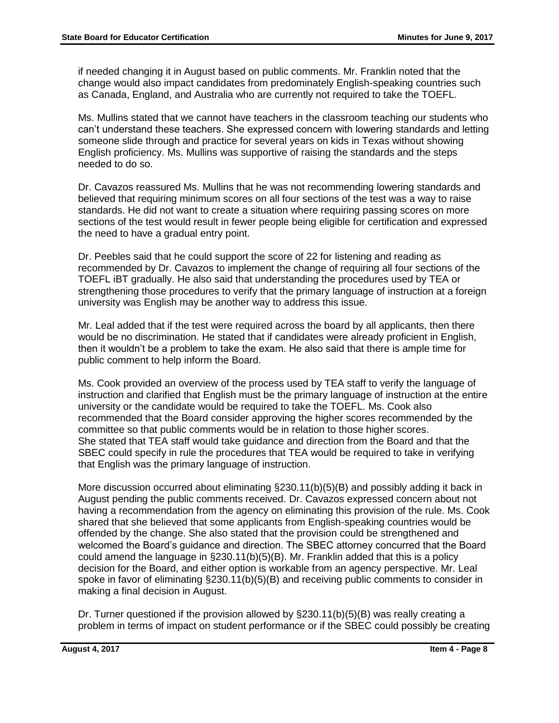if needed changing it in August based on public comments. Mr. Franklin noted that the change would also impact candidates from predominately English-speaking countries such as Canada, England, and Australia who are currently not required to take the TOEFL.

Ms. Mullins stated that we cannot have teachers in the classroom teaching our students who can't understand these teachers. She expressed concern with lowering standards and letting someone slide through and practice for several years on kids in Texas without showing English proficiency. Ms. Mullins was supportive of raising the standards and the steps needed to do so.

Dr. Cavazos reassured Ms. Mullins that he was not recommending lowering standards and believed that requiring minimum scores on all four sections of the test was a way to raise standards. He did not want to create a situation where requiring passing scores on more sections of the test would result in fewer people being eligible for certification and expressed the need to have a gradual entry point.

Dr. Peebles said that he could support the score of 22 for listening and reading as recommended by Dr. Cavazos to implement the change of requiring all four sections of the TOEFL iBT gradually. He also said that understanding the procedures used by TEA or strengthening those procedures to verify that the primary language of instruction at a foreign university was English may be another way to address this issue.

Mr. Leal added that if the test were required across the board by all applicants, then there would be no discrimination. He stated that if candidates were already proficient in English, then it wouldn't be a problem to take the exam. He also said that there is ample time for public comment to help inform the Board.

Ms. Cook provided an overview of the process used by TEA staff to verify the language of instruction and clarified that English must be the primary language of instruction at the entire university or the candidate would be required to take the TOEFL. Ms. Cook also recommended that the Board consider approving the higher scores recommended by the committee so that public comments would be in relation to those higher scores. She stated that TEA staff would take guidance and direction from the Board and that the SBEC could specify in rule the procedures that TEA would be required to take in verifying that English was the primary language of instruction.

More discussion occurred about eliminating §230.11(b)(5)(B) and possibly adding it back in August pending the public comments received. Dr. Cavazos expressed concern about not having a recommendation from the agency on eliminating this provision of the rule. Ms. Cook shared that she believed that some applicants from English-speaking countries would be offended by the change. She also stated that the provision could be strengthened and welcomed the Board's guidance and direction. The SBEC attorney concurred that the Board could amend the language in §230.11(b)(5)(B). Mr. Franklin added that this is a policy decision for the Board, and either option is workable from an agency perspective. Mr. Leal spoke in favor of eliminating §230.11(b)(5)(B) and receiving public comments to consider in making a final decision in August.

Dr. Turner questioned if the provision allowed by  $\S 230.11(b)(5)(B)$  was really creating a problem in terms of impact on student performance or if the SBEC could possibly be creating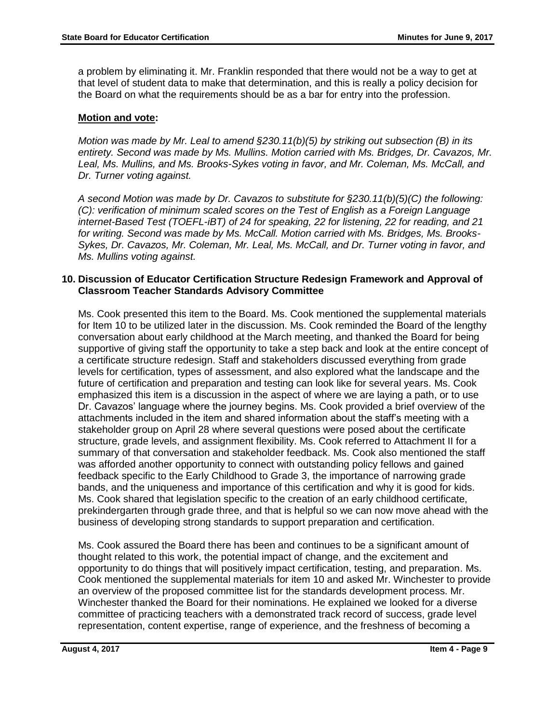a problem by eliminating it. Mr. Franklin responded that there would not be a way to get at that level of student data to make that determination, and this is really a policy decision for the Board on what the requirements should be as a bar for entry into the profession.

## **Motion and vote:**

*Motion was made by Mr. Leal to amend §230.11(b)(5) by striking out subsection (B) in its entirety. Second was made by Ms. Mullins. Motion carried with Ms. Bridges, Dr. Cavazos, Mr.*  Leal, Ms. Mullins, and Ms. Brooks-Sykes voting in favor, and Mr. Coleman, Ms. McCall, and *Dr. Turner voting against.* 

*A second Motion was made by Dr. Cavazos to substitute for §230.11(b)(5)(C) the following: (C): verification of minimum scaled scores on the Test of English as a Foreign Language internet-Based Test (TOEFL-iBT) of 24 for speaking, 22 for listening, 22 for reading, and 21 for writing. Second was made by Ms. McCall. Motion carried with Ms. Bridges, Ms. Brooks-Sykes, Dr. Cavazos, Mr. Coleman, Mr. Leal, Ms. McCall, and Dr. Turner voting in favor, and Ms. Mullins voting against.*

## **10. Discussion of Educator Certification Structure Redesign Framework and Approval of Classroom Teacher Standards Advisory Committee**

Ms. Cook presented this item to the Board. Ms. Cook mentioned the supplemental materials for Item 10 to be utilized later in the discussion. Ms. Cook reminded the Board of the lengthy conversation about early childhood at the March meeting, and thanked the Board for being supportive of giving staff the opportunity to take a step back and look at the entire concept of a certificate structure redesign. Staff and stakeholders discussed everything from grade levels for certification, types of assessment, and also explored what the landscape and the future of certification and preparation and testing can look like for several years. Ms. Cook emphasized this item is a discussion in the aspect of where we are laying a path, or to use Dr. Cavazos' language where the journey begins. Ms. Cook provided a brief overview of the attachments included in the item and shared information about the staff's meeting with a stakeholder group on April 28 where several questions were posed about the certificate structure, grade levels, and assignment flexibility. Ms. Cook referred to Attachment II for a summary of that conversation and stakeholder feedback. Ms. Cook also mentioned the staff was afforded another opportunity to connect with outstanding policy fellows and gained feedback specific to the Early Childhood to Grade 3, the importance of narrowing grade bands, and the uniqueness and importance of this certification and why it is good for kids. Ms. Cook shared that legislation specific to the creation of an early childhood certificate, prekindergarten through grade three, and that is helpful so we can now move ahead with the business of developing strong standards to support preparation and certification.

Ms. Cook assured the Board there has been and continues to be a significant amount of thought related to this work, the potential impact of change, and the excitement and opportunity to do things that will positively impact certification, testing, and preparation. Ms. Cook mentioned the supplemental materials for item 10 and asked Mr. Winchester to provide an overview of the proposed committee list for the standards development process. Mr. Winchester thanked the Board for their nominations. He explained we looked for a diverse committee of practicing teachers with a demonstrated track record of success, grade level representation, content expertise, range of experience, and the freshness of becoming a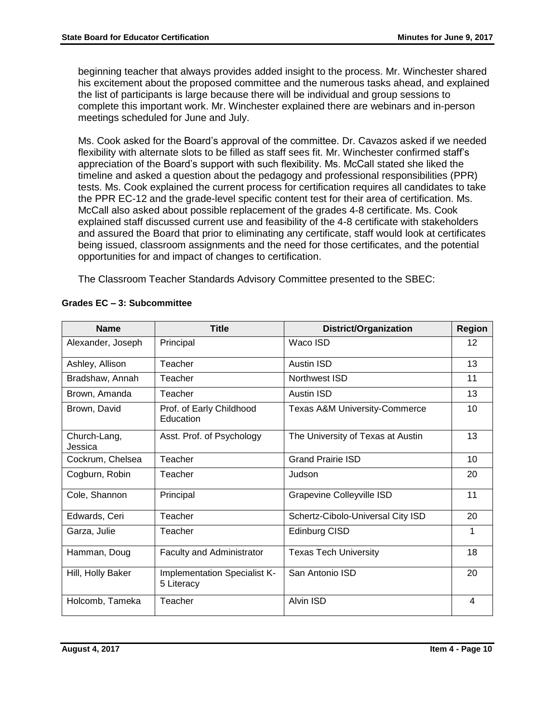beginning teacher that always provides added insight to the process. Mr. Winchester shared his excitement about the proposed committee and the numerous tasks ahead, and explained the list of participants is large because there will be individual and group sessions to complete this important work. Mr. Winchester explained there are webinars and in-person meetings scheduled for June and July.

Ms. Cook asked for the Board's approval of the committee. Dr. Cavazos asked if we needed flexibility with alternate slots to be filled as staff sees fit. Mr. Winchester confirmed staff's appreciation of the Board's support with such flexibility. Ms. McCall stated she liked the timeline and asked a question about the pedagogy and professional responsibilities (PPR) tests. Ms. Cook explained the current process for certification requires all candidates to take the PPR EC-12 and the grade-level specific content test for their area of certification. Ms. McCall also asked about possible replacement of the grades 4-8 certificate. Ms. Cook explained staff discussed current use and feasibility of the 4-8 certificate with stakeholders and assured the Board that prior to eliminating any certificate, staff would look at certificates being issued, classroom assignments and the need for those certificates, and the potential opportunities for and impact of changes to certification.

The Classroom Teacher Standards Advisory Committee presented to the SBEC:

| <b>Name</b>             | <b>Title</b>                               | <b>District/Organization</b>             | <b>Region</b> |
|-------------------------|--------------------------------------------|------------------------------------------|---------------|
| Alexander, Joseph       | Principal                                  | Waco ISD                                 | $12 \,$       |
| Ashley, Allison         | Teacher                                    | <b>Austin ISD</b>                        | 13            |
| Bradshaw, Annah         | Teacher                                    | Northwest ISD                            | 11            |
| Brown, Amanda           | Teacher                                    | <b>Austin ISD</b>                        | 13            |
| Brown, David            | Prof. of Early Childhood<br>Education      | <b>Texas A&amp;M University-Commerce</b> | 10            |
| Church-Lang,<br>Jessica | Asst. Prof. of Psychology                  | The University of Texas at Austin        | 13            |
| Cockrum, Chelsea        | Teacher                                    | <b>Grand Prairie ISD</b>                 | 10            |
| Cogburn, Robin          | Teacher                                    | Judson                                   | 20            |
| Cole, Shannon           | Principal                                  | <b>Grapevine Colleyville ISD</b>         | 11            |
| Edwards, Ceri           | Teacher                                    | Schertz-Cibolo-Universal City ISD        | 20            |
| Garza, Julie            | Teacher                                    | Edinburg CISD                            | 1             |
| Hamman, Doug            | <b>Faculty and Administrator</b>           | <b>Texas Tech University</b>             | 18            |
| Hill, Holly Baker       | Implementation Specialist K-<br>5 Literacy | San Antonio ISD                          | 20            |
| Holcomb, Tameka         | Teacher                                    | Alvin ISD                                | 4             |

#### **Grades EC – 3: Subcommittee**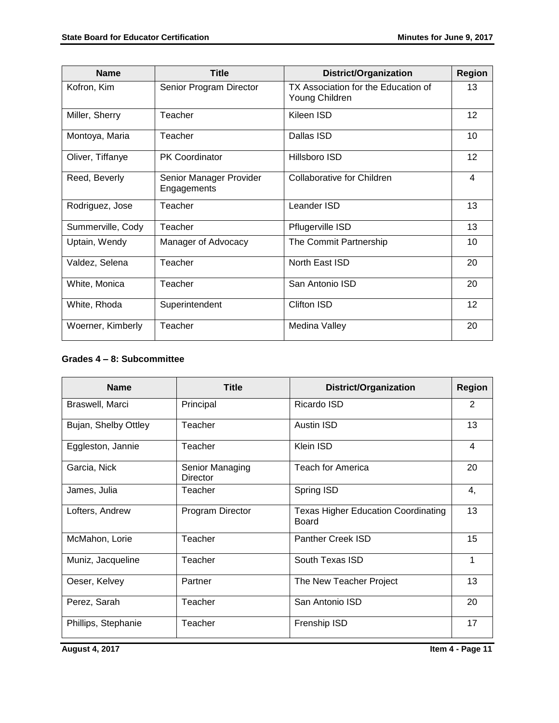| <b>Name</b>       | <b>Title</b>                           | <b>District/Organization</b>                          | <b>Region</b> |
|-------------------|----------------------------------------|-------------------------------------------------------|---------------|
| Kofron, Kim       | Senior Program Director                | TX Association for the Education of<br>Young Children | 13            |
| Miller, Sherry    | Teacher                                | Kileen ISD                                            | 12            |
| Montoya, Maria    | Teacher                                | Dallas ISD                                            | 10            |
| Oliver, Tiffanye  | <b>PK Coordinator</b>                  | Hillsboro ISD                                         | 12            |
| Reed, Beverly     | Senior Manager Provider<br>Engagements | <b>Collaborative for Children</b>                     | 4             |
| Rodriguez, Jose   | Teacher                                | Leander ISD                                           | 13            |
| Summerville, Cody | Teacher                                | Pflugerville ISD                                      | 13            |
| Uptain, Wendy     | Manager of Advocacy                    | The Commit Partnership                                | 10            |
| Valdez, Selena    | Teacher                                | North East ISD                                        | 20            |
| White, Monica     | Teacher                                | San Antonio ISD                                       | 20            |
| White, Rhoda      | Superintendent                         | Clifton ISD                                           | 12            |
| Woerner, Kimberly | Teacher                                | Medina Valley                                         | 20            |

#### **Grades 4 – 8: Subcommittee**

| <b>Name</b>          | <b>Title</b>                       | <b>District/Organization</b>                               | <b>Region</b> |
|----------------------|------------------------------------|------------------------------------------------------------|---------------|
| Braswell, Marci      | Principal                          | Ricardo ISD                                                | 2             |
| Bujan, Shelby Ottley | Teacher                            | <b>Austin ISD</b>                                          | 13            |
| Eggleston, Jannie    | Teacher                            | Klein ISD                                                  | 4             |
| Garcia, Nick         | Senior Managing<br><b>Director</b> | <b>Teach for America</b>                                   | 20            |
| James, Julia         | Teacher                            | Spring ISD                                                 | 4,            |
| Lofters, Andrew      | Program Director                   | <b>Texas Higher Education Coordinating</b><br><b>Board</b> | 13            |
| McMahon, Lorie       | Teacher                            | Panther Creek ISD                                          | 15            |
| Muniz, Jacqueline    | Teacher                            | South Texas ISD                                            | 1             |
| Oeser, Kelvey        | Partner                            | The New Teacher Project                                    | 13            |
| Perez, Sarah         | Teacher                            | San Antonio ISD                                            | 20            |
| Phillips, Stephanie  | Teacher                            | Frenship ISD                                               | 17            |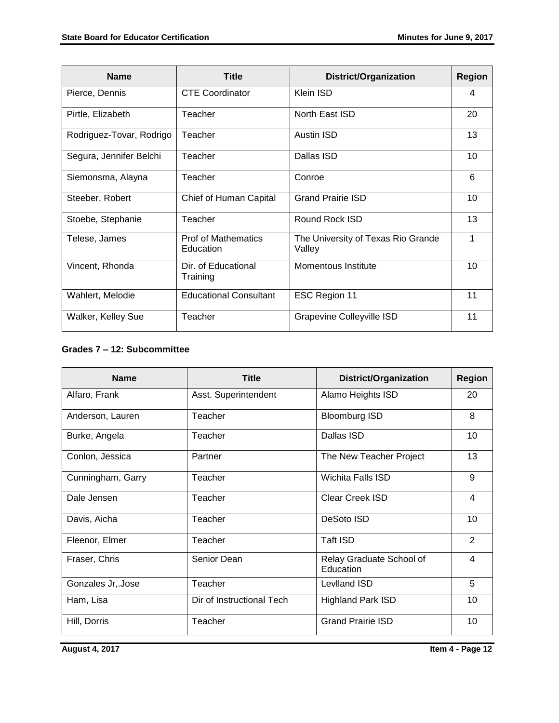| <b>Name</b>              | <b>Title</b>                            | <b>District/Organization</b>                 | <b>Region</b> |
|--------------------------|-----------------------------------------|----------------------------------------------|---------------|
| Pierce, Dennis           | <b>CTE Coordinator</b>                  | Klein ISD                                    | 4             |
| Pirtle, Elizabeth        | Teacher                                 | North East ISD                               | 20            |
| Rodriguez-Tovar, Rodrigo | Teacher                                 | <b>Austin ISD</b>                            | 13            |
| Segura, Jennifer Belchi  | Teacher                                 | Dallas ISD                                   | 10            |
| Siemonsma, Alayna        | Teacher                                 | Conroe                                       | 6             |
| Steeber, Robert          | Chief of Human Capital                  | <b>Grand Prairie ISD</b>                     | 10            |
| Stoebe, Stephanie        | Teacher                                 | Round Rock ISD                               | 13            |
| Telese, James            | <b>Prof of Mathematics</b><br>Education | The University of Texas Rio Grande<br>Valley | 1             |
| Vincent, Rhonda          | Dir. of Educational<br>Training         | Momentous Institute                          | 10            |
| Wahlert, Melodie         | <b>Educational Consultant</b>           | ESC Region 11                                | 11            |
| Walker, Kelley Sue       | Teacher                                 | Grapevine Colleyville ISD                    | 11            |

#### **Grades 7 – 12: Subcommittee**

| <b>Name</b>       | <b>Title</b>              | <b>District/Organization</b>          | <b>Region</b>  |
|-------------------|---------------------------|---------------------------------------|----------------|
| Alfaro, Frank     | Asst. Superintendent      | Alamo Heights ISD                     | 20             |
| Anderson, Lauren  | Teacher                   | <b>Bloomburg ISD</b>                  | 8              |
| Burke, Angela     | Teacher                   | Dallas ISD                            | 10             |
| Conlon, Jessica   | Partner                   | The New Teacher Project               | 13             |
| Cunningham, Garry | Teacher                   | Wichita Falls ISD                     | 9              |
| Dale Jensen       | Teacher                   | <b>Clear Creek ISD</b>                | $\overline{4}$ |
| Davis, Aicha      | Teacher                   | DeSoto ISD                            | 10             |
| Fleenor, Elmer    | Teacher                   | Taft ISD                              | $\overline{2}$ |
| Fraser, Chris     | Senior Dean               | Relay Graduate School of<br>Education | 4              |
| Gonzales Jr, Jose | Teacher                   | Levlland ISD                          | 5              |
| Ham, Lisa         | Dir of Instructional Tech | <b>Highland Park ISD</b>              | 10             |
| Hill, Dorris      | Teacher                   | <b>Grand Prairie ISD</b>              | 10             |

**August 4, 2017** Item 4 - Page 12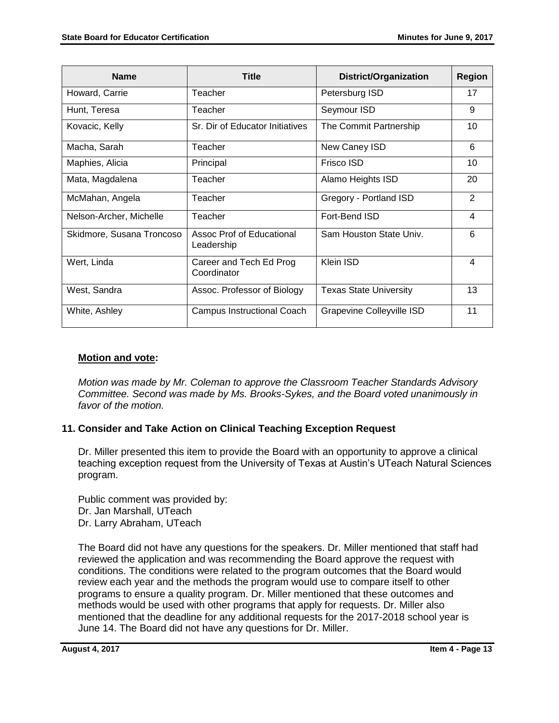| <b>Name</b>               | <b>Title</b>                            | District/Organization         | <b>Region</b>           |
|---------------------------|-----------------------------------------|-------------------------------|-------------------------|
| Howard, Carrie            | Teacher                                 | Petersburg ISD                | 17                      |
| Hunt, Teresa              | Teacher                                 | Seymour ISD                   | 9                       |
| Kovacic, Kelly            | Sr. Dir of Educator Initiatives         | The Commit Partnership        | 10                      |
| Macha, Sarah              | Teacher                                 | New Caney ISD                 | 6                       |
| Maphies, Alicia           | Principal                               | <b>Frisco ISD</b>             | 10                      |
| Mata, Magdalena           | Teacher                                 | Alamo Heights ISD             | 20                      |
| McMahan, Angela           | Teacher                                 | Gregory - Portland ISD        | $\overline{2}$          |
| Nelson-Archer, Michelle   | Teacher                                 | Fort-Bend ISD                 | 4                       |
| Skidmore, Susana Troncoso | Assoc Prof of Educational<br>Leadership | Sam Houston State Univ.       | 6                       |
| Wert, Linda               | Career and Tech Ed Prog<br>Coordinator  | Klein ISD                     | $\overline{\mathbf{4}}$ |
| West, Sandra              | Assoc. Professor of Biology             | <b>Texas State University</b> | 13                      |
| White, Ashley             | Campus Instructional Coach              | Grapevine Colleyville ISD     | 11                      |

## **Motion and vote:**

*Motion was made by Mr. Coleman to approve the Classroom Teacher Standards Advisory Committee. Second was made by Ms. Brooks-Sykes, and the Board voted unanimously in favor of the motion.*

## **11. Consider and Take Action on Clinical Teaching Exception Request**

Dr. Miller presented this item to provide the Board with an opportunity to approve a clinical teaching exception request from the University of Texas at Austin's UTeach Natural Sciences program.

Public comment was provided by: Dr. Jan Marshall, UTeach Dr. Larry Abraham, UTeach

The Board did not have any questions for the speakers. Dr. Miller mentioned that staff had reviewed the application and was recommending the Board approve the request with conditions. The conditions were related to the program outcomes that the Board would review each year and the methods the program would use to compare itself to other programs to ensure a quality program. Dr. Miller mentioned that these outcomes and methods would be used with other programs that apply for requests. Dr. Miller also mentioned that the deadline for any additional requests for the 2017-2018 school year is June 14. The Board did not have any questions for Dr. Miller.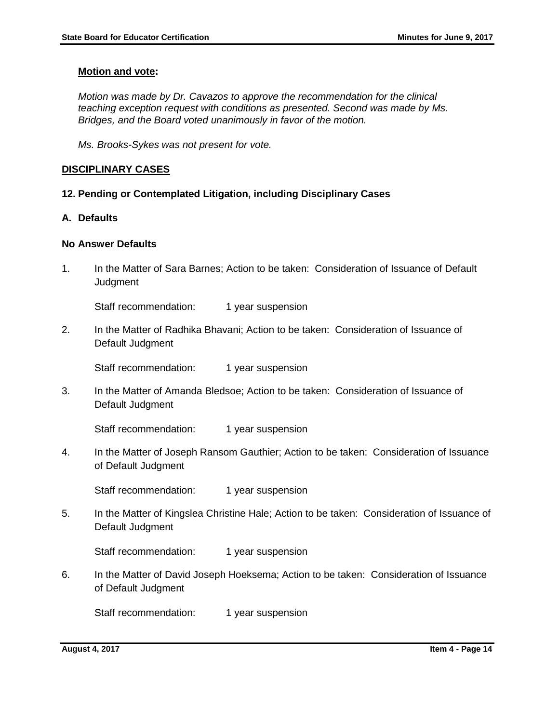#### **Motion and vote:**

*Motion was made by Dr. Cavazos to approve the recommendation for the clinical teaching exception request with conditions as presented. Second was made by Ms. Bridges, and the Board voted unanimously in favor of the motion.*

*Ms. Brooks-Sykes was not present for vote.* 

#### **DISCIPLINARY CASES**

#### **12. Pending or Contemplated Litigation, including Disciplinary Cases**

#### **A. Defaults**

#### **No Answer Defaults**

1. In the Matter of Sara Barnes; Action to be taken: Consideration of Issuance of Default **Judgment** 

Staff recommendation: 1 year suspension

2. In the Matter of Radhika Bhavani; Action to be taken: Consideration of Issuance of Default Judgment

Staff recommendation: 1 year suspension

3. In the Matter of Amanda Bledsoe; Action to be taken: Consideration of Issuance of Default Judgment

Staff recommendation: 1 year suspension

4. In the Matter of Joseph Ransom Gauthier; Action to be taken: Consideration of Issuance of Default Judgment

Staff recommendation: 1 year suspension

5. In the Matter of Kingslea Christine Hale; Action to be taken: Consideration of Issuance of Default Judgment

Staff recommendation: 1 year suspension

6. In the Matter of David Joseph Hoeksema; Action to be taken: Consideration of Issuance of Default Judgment

Staff recommendation: 1 year suspension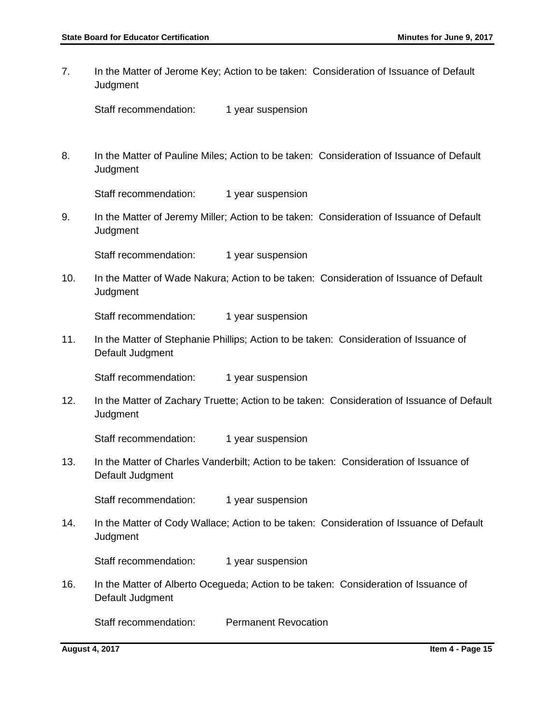7. In the Matter of Jerome Key; Action to be taken: Consideration of Issuance of Default **Judgment** 

8. In the Matter of Pauline Miles; Action to be taken: Consideration of Issuance of Default **Judgment** 

Staff recommendation: 1 year suspension

9. In the Matter of Jeremy Miller; Action to be taken: Consideration of Issuance of Default **Judgment** 

Staff recommendation: 1 year suspension

10. In the Matter of Wade Nakura; Action to be taken: Consideration of Issuance of Default **Judgment** 

Staff recommendation: 1 year suspension

11. In the Matter of Stephanie Phillips; Action to be taken: Consideration of Issuance of Default Judgment

Staff recommendation: 1 year suspension

12. In the Matter of Zachary Truette; Action to be taken: Consideration of Issuance of Default Judgment

Staff recommendation: 1 year suspension

13. In the Matter of Charles Vanderbilt; Action to be taken: Consideration of Issuance of Default Judgment

Staff recommendation: 1 year suspension

14. In the Matter of Cody Wallace; Action to be taken: Consideration of Issuance of Default **Judgment** 

Staff recommendation: 1 year suspension

16. In the Matter of Alberto Ocegueda; Action to be taken: Consideration of Issuance of Default Judgment

Staff recommendation: Permanent Revocation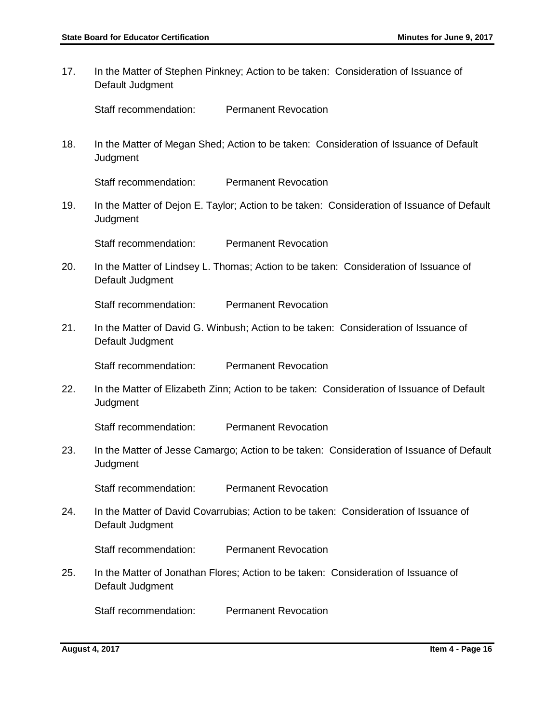17. In the Matter of Stephen Pinkney; Action to be taken: Consideration of Issuance of Default Judgment

Staff recommendation: Permanent Revocation

18. In the Matter of Megan Shed; Action to be taken: Consideration of Issuance of Default **Judgment** 

Staff recommendation: Permanent Revocation

19. In the Matter of Dejon E. Taylor; Action to be taken: Consideration of Issuance of Default Judgment

Staff recommendation: Permanent Revocation

20. In the Matter of Lindsey L. Thomas; Action to be taken: Consideration of Issuance of Default Judgment

Staff recommendation: Permanent Revocation

21. In the Matter of David G. Winbush; Action to be taken: Consideration of Issuance of Default Judgment

Staff recommendation: Permanent Revocation

22. In the Matter of Elizabeth Zinn; Action to be taken: Consideration of Issuance of Default **Judgment** 

Staff recommendation: Permanent Revocation

23. In the Matter of Jesse Camargo; Action to be taken: Consideration of Issuance of Default **Judgment** 

Staff recommendation: Permanent Revocation

24. In the Matter of David Covarrubias; Action to be taken: Consideration of Issuance of Default Judgment

Staff recommendation: Permanent Revocation

25. In the Matter of Jonathan Flores; Action to be taken: Consideration of Issuance of Default Judgment

Staff recommendation: Permanent Revocation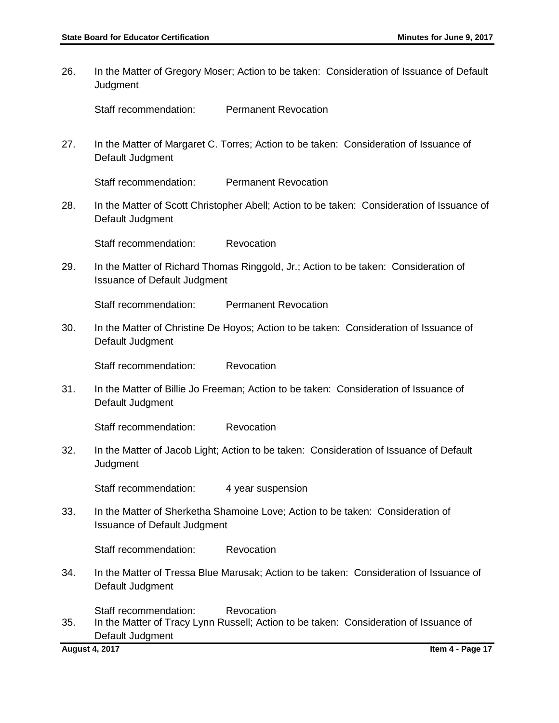26. In the Matter of Gregory Moser; Action to be taken: Consideration of Issuance of Default **Judgment** Staff recommendation: Permanent Revocation 27. In the Matter of Margaret C. Torres; Action to be taken: Consideration of Issuance of Default Judgment Staff recommendation: Permanent Revocation 28. In the Matter of Scott Christopher Abell; Action to be taken: Consideration of Issuance of Default Judgment Staff recommendation: Revocation 29. In the Matter of Richard Thomas Ringgold, Jr.; Action to be taken: Consideration of Issuance of Default Judgment Staff recommendation: Permanent Revocation 30. In the Matter of Christine De Hoyos; Action to be taken: Consideration of Issuance of Default Judgment Staff recommendation: Revocation 31. In the Matter of Billie Jo Freeman; Action to be taken: Consideration of Issuance of Default Judgment Staff recommendation: Revocation 32. In the Matter of Jacob Light; Action to be taken: Consideration of Issuance of Default **Judgment** Staff recommendation: 4 year suspension 33. In the Matter of Sherketha Shamoine Love; Action to be taken: Consideration of Issuance of Default Judgment Staff recommendation: Revocation 34. In the Matter of Tressa Blue Marusak; Action to be taken: Consideration of Issuance of Default Judgment Staff recommendation: Revocation 35. In the Matter of Tracy Lynn Russell; Action to be taken: Consideration of Issuance of Default Judgment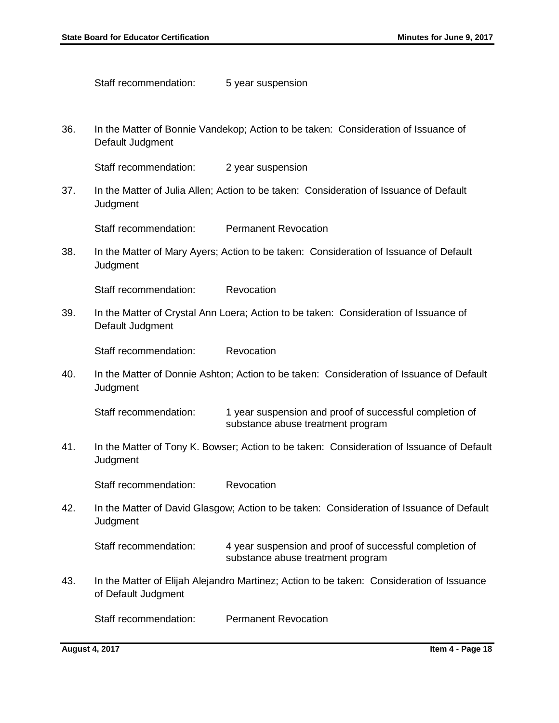Staff recommendation: 5 year suspension

36. In the Matter of Bonnie Vandekop; Action to be taken: Consideration of Issuance of Default Judgment

Staff recommendation: 2 year suspension

37. In the Matter of Julia Allen; Action to be taken: Consideration of Issuance of Default **Judgment** 

Staff recommendation: Permanent Revocation

38. In the Matter of Mary Ayers; Action to be taken: Consideration of Issuance of Default **Judgment** 

Staff recommendation: Revocation

39. In the Matter of Crystal Ann Loera; Action to be taken: Consideration of Issuance of Default Judgment

Staff recommendation: Revocation

40. In the Matter of Donnie Ashton; Action to be taken: Consideration of Issuance of Default **Judgment** 

Staff recommendation: 1 year suspension and proof of successful completion of substance abuse treatment program

41. In the Matter of Tony K. Bowser; Action to be taken: Consideration of Issuance of Default **Judgment** 

Staff recommendation: Revocation

42. In the Matter of David Glasgow; Action to be taken: Consideration of Issuance of Default **Judgment** 

Staff recommendation: 4 year suspension and proof of successful completion of substance abuse treatment program

43. In the Matter of Elijah Alejandro Martinez; Action to be taken: Consideration of Issuance of Default Judgment

Staff recommendation: Permanent Revocation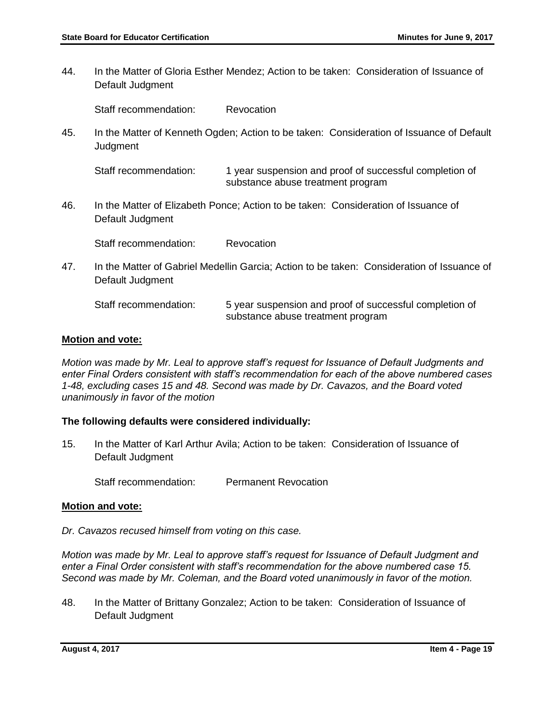44. In the Matter of Gloria Esther Mendez; Action to be taken: Consideration of Issuance of Default Judgment

Staff recommendation: Revocation

45. In the Matter of Kenneth Ogden; Action to be taken: Consideration of Issuance of Default **Judgment** 

Staff recommendation: 1 year suspension and proof of successful completion of substance abuse treatment program

46. In the Matter of Elizabeth Ponce; Action to be taken: Consideration of Issuance of Default Judgment

Staff recommendation: Revocation

47. In the Matter of Gabriel Medellin Garcia; Action to be taken: Consideration of Issuance of Default Judgment

Staff recommendation: 5 year suspension and proof of successful completion of substance abuse treatment program

### **Motion and vote:**

*Motion was made by Mr. Leal to approve staff's request for Issuance of Default Judgments and enter Final Orders consistent with staff's recommendation for each of the above numbered cases 1-48, excluding cases 15 and 48. Second was made by Dr. Cavazos, and the Board voted unanimously in favor of the motion*

## **The following defaults were considered individually:**

15. In the Matter of Karl Arthur Avila; Action to be taken: Consideration of Issuance of Default Judgment

Staff recommendation: Permanent Revocation

#### **Motion and vote:**

*Dr. Cavazos recused himself from voting on this case.*

*Motion was made by Mr. Leal to approve staff's request for Issuance of Default Judgment and enter a Final Order consistent with staff's recommendation for the above numbered case 15. Second was made by Mr. Coleman, and the Board voted unanimously in favor of the motion.* 

48. In the Matter of Brittany Gonzalez; Action to be taken: Consideration of Issuance of Default Judgment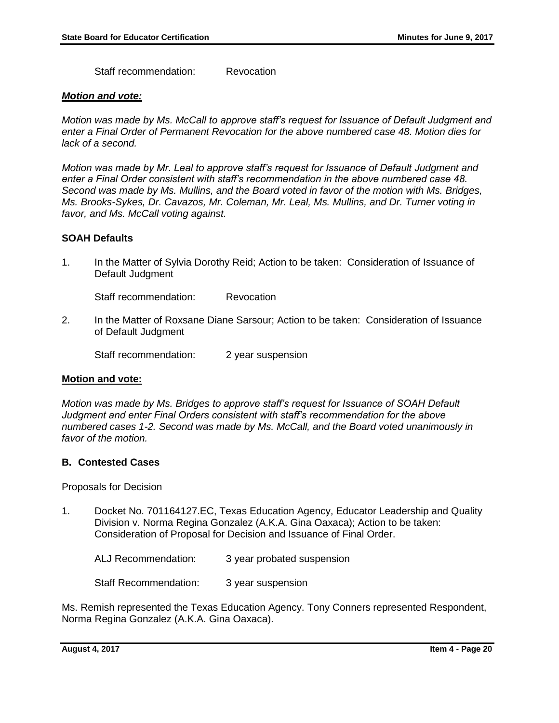Staff recommendation: Revocation

#### *Motion and vote:*

*Motion was made by Ms. McCall to approve staff's request for Issuance of Default Judgment and enter a Final Order of Permanent Revocation for the above numbered case 48. Motion dies for lack of a second.* 

*Motion was made by Mr. Leal to approve staff's request for Issuance of Default Judgment and enter a Final Order consistent with staff's recommendation in the above numbered case 48. Second was made by Ms. Mullins, and the Board voted in favor of the motion with Ms. Bridges, Ms. Brooks-Sykes, Dr. Cavazos, Mr. Coleman, Mr. Leal, Ms. Mullins, and Dr. Turner voting in favor, and Ms. McCall voting against.*

## **SOAH Defaults**

1. In the Matter of Sylvia Dorothy Reid; Action to be taken: Consideration of Issuance of Default Judgment

Staff recommendation: Revocation

2. In the Matter of Roxsane Diane Sarsour; Action to be taken: Consideration of Issuance of Default Judgment

Staff recommendation: 2 year suspension

## **Motion and vote:**

*Motion was made by Ms. Bridges to approve staff's request for Issuance of SOAH Default Judgment and enter Final Orders consistent with staff's recommendation for the above numbered cases 1-2. Second was made by Ms. McCall, and the Board voted unanimously in favor of the motion.*

## **B. Contested Cases**

Proposals for Decision

1. Docket No. 701164127.EC, Texas Education Agency, Educator Leadership and Quality Division v. Norma Regina Gonzalez (A.K.A. Gina Oaxaca); Action to be taken: Consideration of Proposal for Decision and Issuance of Final Order.

ALJ Recommendation: 3 year probated suspension

Staff Recommendation: 3 year suspension

Ms. Remish represented the Texas Education Agency. Tony Conners represented Respondent, Norma Regina Gonzalez (A.K.A. Gina Oaxaca).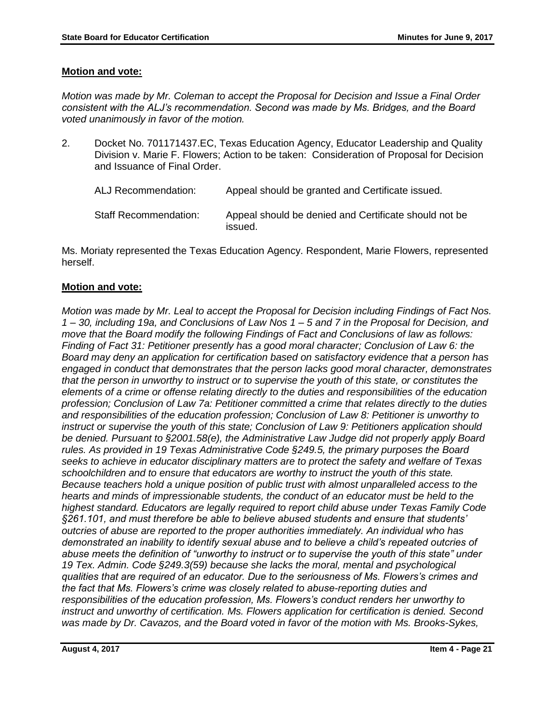## **Motion and vote:**

*Motion was made by Mr. Coleman to accept the Proposal for Decision and Issue a Final Order consistent with the ALJ's recommendation. Second was made by Ms. Bridges, and the Board voted unanimously in favor of the motion.* 

2. Docket No. 701171437.EC, Texas Education Agency, Educator Leadership and Quality Division v. Marie F. Flowers; Action to be taken: Consideration of Proposal for Decision and Issuance of Final Order.

| ALJ Recommendation:   | Appeal should be granted and Certificate issued.      |
|-----------------------|-------------------------------------------------------|
| Staff Recommendation: | Appeal should be denied and Certificate should not be |

issued.

Ms. Moriaty represented the Texas Education Agency. Respondent, Marie Flowers, represented herself.

## **Motion and vote:**

*Motion was made by Mr. Leal to accept the Proposal for Decision including Findings of Fact Nos. 1 – 30, including 19a, and Conclusions of Law Nos 1 – 5 and 7 in the Proposal for Decision, and move that the Board modify the following Findings of Fact and Conclusions of law as follows: Finding of Fact 31: Petitioner presently has a good moral character; Conclusion of Law 6: the Board may deny an application for certification based on satisfactory evidence that a person has engaged in conduct that demonstrates that the person lacks good moral character, demonstrates that the person in unworthy to instruct or to supervise the youth of this state, or constitutes the elements of a crime or offense relating directly to the duties and responsibilities of the education profession; Conclusion of Law 7a: Petitioner committed a crime that relates directly to the duties and responsibilities of the education profession; Conclusion of Law 8: Petitioner is unworthy to instruct or supervise the youth of this state; Conclusion of Law 9: Petitioners application should be denied. Pursuant to §2001.58(e), the Administrative Law Judge did not properly apply Board rules. As provided in 19 Texas Administrative Code §249.5, the primary purposes the Board seeks to achieve in educator disciplinary matters are to protect the safety and welfare of Texas schoolchildren and to ensure that educators are worthy to instruct the youth of this state. Because teachers hold a unique position of public trust with almost unparalleled access to the hearts and minds of impressionable students, the conduct of an educator must be held to the highest standard. Educators are legally required to report child abuse under Texas Family Code §261.101, and must therefore be able to believe abused students and ensure that students' outcries of abuse are reported to the proper authorities immediately. An individual who has demonstrated an inability to identify sexual abuse and to believe a child's repeated outcries of abuse meets the definition of "unworthy to instruct or to supervise the youth of this state" under 19 Tex. Admin. Code §249.3(59) because she lacks the moral, mental and psychological qualities that are required of an educator. Due to the seriousness of Ms. Flowers's crimes and the fact that Ms. Flowers's crime was closely related to abuse-reporting duties and responsibilities of the education profession, Ms. Flowers's conduct renders her unworthy to instruct and unworthy of certification. Ms. Flowers application for certification is denied. Second was made by Dr. Cavazos, and the Board voted in favor of the motion with Ms. Brooks-Sykes,*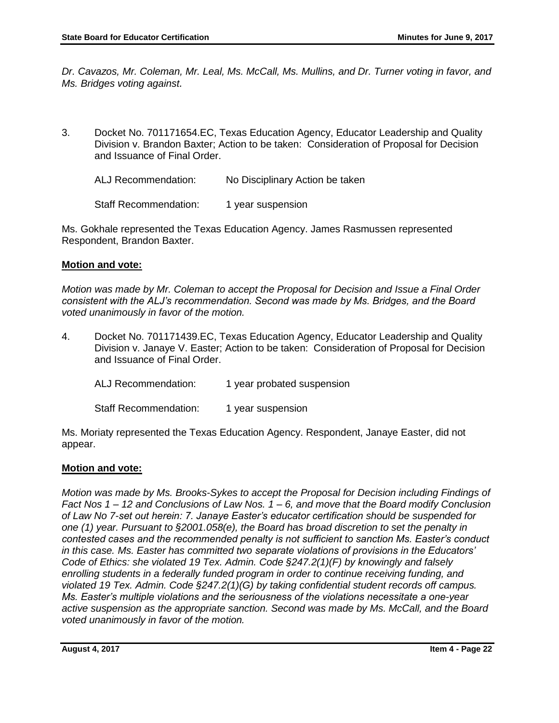*Dr. Cavazos, Mr. Coleman, Mr. Leal, Ms. McCall, Ms. Mullins, and Dr. Turner voting in favor, and Ms. Bridges voting against.*

3. Docket No. 701171654.EC, Texas Education Agency, Educator Leadership and Quality Division v. Brandon Baxter; Action to be taken: Consideration of Proposal for Decision and Issuance of Final Order.

ALJ Recommendation: No Disciplinary Action be taken

Staff Recommendation: 1 year suspension

Ms. Gokhale represented the Texas Education Agency. James Rasmussen represented Respondent, Brandon Baxter.

### **Motion and vote:**

*Motion was made by Mr. Coleman to accept the Proposal for Decision and Issue a Final Order consistent with the ALJ's recommendation. Second was made by Ms. Bridges, and the Board voted unanimously in favor of the motion.* 

4. Docket No. 701171439.EC, Texas Education Agency, Educator Leadership and Quality Division v. Janaye V. Easter; Action to be taken: Consideration of Proposal for Decision and Issuance of Final Order.

ALJ Recommendation: 1 year probated suspension

Staff Recommendation: 1 year suspension

Ms. Moriaty represented the Texas Education Agency. Respondent, Janaye Easter, did not appear.

#### **Motion and vote:**

*Motion was made by Ms. Brooks-Sykes to accept the Proposal for Decision including Findings of Fact Nos 1 – 12 and Conclusions of Law Nos. 1 – 6, and move that the Board modify Conclusion of Law No 7-set out herein: 7. Janaye Easter's educator certification should be suspended for one (1) year. Pursuant to §2001.058(e), the Board has broad discretion to set the penalty in contested cases and the recommended penalty is not sufficient to sanction Ms. Easter's conduct in this case. Ms. Easter has committed two separate violations of provisions in the Educators' Code of Ethics: she violated 19 Tex. Admin. Code §247.2(1)(F) by knowingly and falsely enrolling students in a federally funded program in order to continue receiving funding, and violated 19 Tex. Admin. Code §247.2(1)(G) by taking confidential student records off campus. Ms. Easter's multiple violations and the seriousness of the violations necessitate a one-year active suspension as the appropriate sanction. Second was made by Ms. McCall, and the Board voted unanimously in favor of the motion.*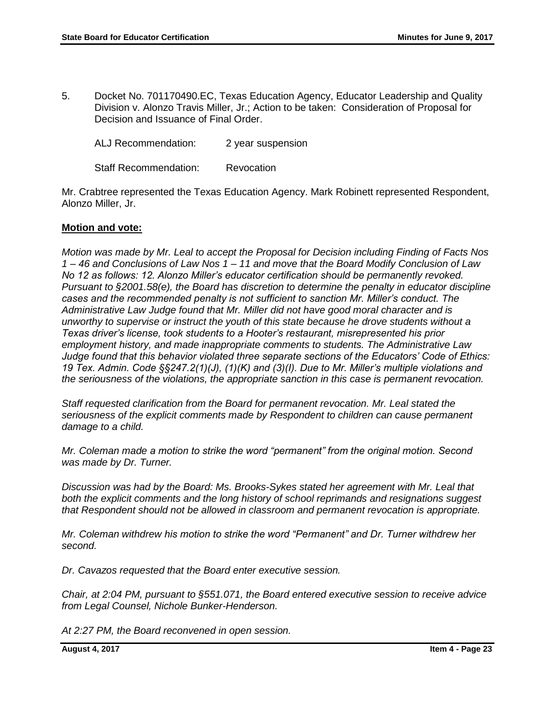5. Docket No. 701170490.EC, Texas Education Agency, Educator Leadership and Quality Division v. Alonzo Travis Miller, Jr.; Action to be taken: Consideration of Proposal for Decision and Issuance of Final Order.

ALJ Recommendation: 2 year suspension

Staff Recommendation: Revocation

Mr. Crabtree represented the Texas Education Agency. Mark Robinett represented Respondent, Alonzo Miller, Jr.

## **Motion and vote:**

*Motion was made by Mr. Leal to accept the Proposal for Decision including Finding of Facts Nos 1 – 46 and Conclusions of Law Nos 1 – 11 and move that the Board Modify Conclusion of Law No 12 as follows: 12. Alonzo Miller's educator certification should be permanently revoked. Pursuant to §2001.58(e), the Board has discretion to determine the penalty in educator discipline cases and the recommended penalty is not sufficient to sanction Mr. Miller's conduct. The Administrative Law Judge found that Mr. Miller did not have good moral character and is unworthy to supervise or instruct the youth of this state because he drove students without a Texas driver's license, took students to a Hooter's restaurant, misrepresented his prior employment history, and made inappropriate comments to students. The Administrative Law Judge found that this behavior violated three separate sections of the Educators' Code of Ethics: 19 Tex. Admin. Code §§247.2(1)(J), (1)(K) and (3)(I). Due to Mr. Miller's multiple violations and the seriousness of the violations, the appropriate sanction in this case is permanent revocation.*

*Staff requested clarification from the Board for permanent revocation. Mr. Leal stated the seriousness of the explicit comments made by Respondent to children can cause permanent damage to a child.* 

*Mr. Coleman made a motion to strike the word "permanent" from the original motion. Second was made by Dr. Turner.* 

*Discussion was had by the Board: Ms. Brooks-Sykes stated her agreement with Mr. Leal that both the explicit comments and the long history of school reprimands and resignations suggest that Respondent should not be allowed in classroom and permanent revocation is appropriate.* 

*Mr. Coleman withdrew his motion to strike the word "Permanent" and Dr. Turner withdrew her second.* 

*Dr. Cavazos requested that the Board enter executive session.* 

*Chair, at 2:04 PM, pursuant to §551.071, the Board entered executive session to receive advice from Legal Counsel, Nichole Bunker-Henderson.* 

*At 2:27 PM, the Board reconvened in open session.*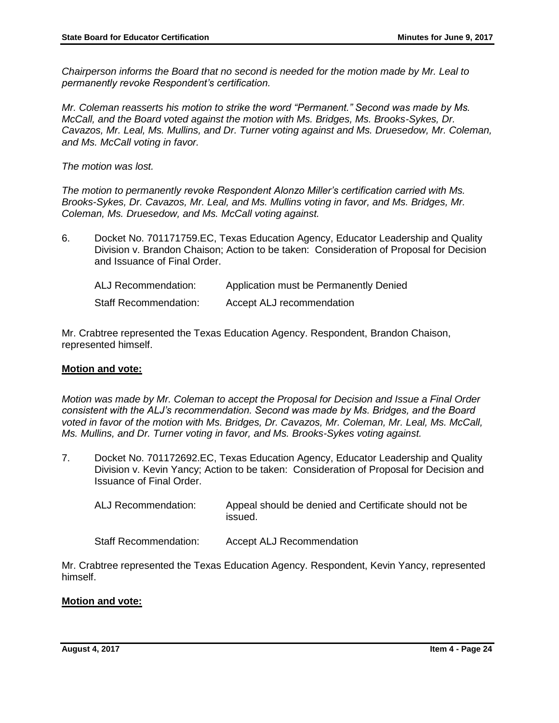*Chairperson informs the Board that no second is needed for the motion made by Mr. Leal to permanently revoke Respondent's certification.*

*Mr. Coleman reasserts his motion to strike the word "Permanent." Second was made by Ms. McCall, and the Board voted against the motion with Ms. Bridges, Ms. Brooks-Sykes, Dr. Cavazos, Mr. Leal, Ms. Mullins, and Dr. Turner voting against and Ms. Druesedow, Mr. Coleman, and Ms. McCall voting in favor.* 

*The motion was lost.* 

*The motion to permanently revoke Respondent Alonzo Miller's certification carried with Ms. Brooks-Sykes, Dr. Cavazos, Mr. Leal, and Ms. Mullins voting in favor, and Ms. Bridges, Mr. Coleman, Ms. Druesedow, and Ms. McCall voting against.* 

6. Docket No. 701171759.EC, Texas Education Agency, Educator Leadership and Quality Division v. Brandon Chaison; Action to be taken: Consideration of Proposal for Decision and Issuance of Final Order.

| <b>ALJ Recommendation:</b>   | Application must be Permanently Denied |
|------------------------------|----------------------------------------|
| <b>Staff Recommendation:</b> | Accept ALJ recommendation              |

Mr. Crabtree represented the Texas Education Agency. Respondent, Brandon Chaison, represented himself.

## **Motion and vote:**

*Motion was made by Mr. Coleman to accept the Proposal for Decision and Issue a Final Order consistent with the ALJ's recommendation. Second was made by Ms. Bridges, and the Board voted in favor of the motion with Ms. Bridges, Dr. Cavazos, Mr. Coleman, Mr. Leal, Ms. McCall, Ms. Mullins, and Dr. Turner voting in favor, and Ms. Brooks-Sykes voting against.*

- 7. Docket No. 701172692.EC, Texas Education Agency, Educator Leadership and Quality Division v. Kevin Yancy; Action to be taken: Consideration of Proposal for Decision and Issuance of Final Order.
	- ALJ Recommendation: Appeal should be denied and Certificate should not be issued.

Staff Recommendation: Accept ALJ Recommendation

Mr. Crabtree represented the Texas Education Agency. Respondent, Kevin Yancy, represented himself.

## **Motion and vote:**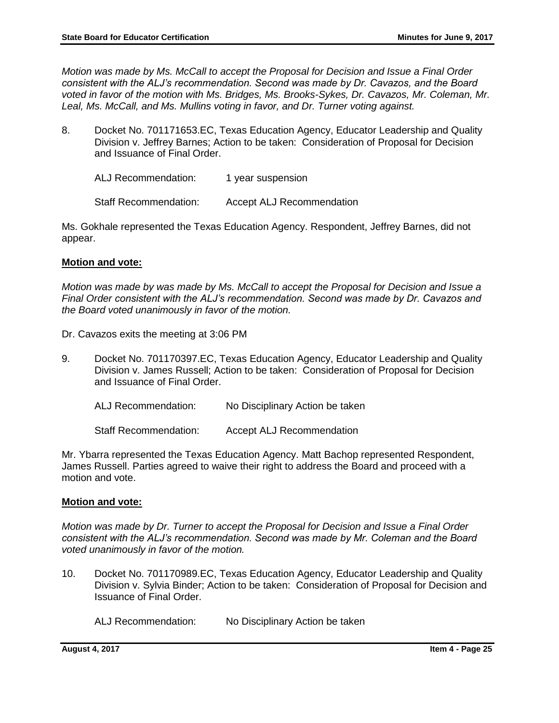*Motion was made by Ms. McCall to accept the Proposal for Decision and Issue a Final Order consistent with the ALJ's recommendation. Second was made by Dr. Cavazos, and the Board voted in favor of the motion with Ms. Bridges, Ms. Brooks-Sykes, Dr. Cavazos, Mr. Coleman, Mr. Leal, Ms. McCall, and Ms. Mullins voting in favor, and Dr. Turner voting against.*

8. Docket No. 701171653.EC, Texas Education Agency, Educator Leadership and Quality Division v. Jeffrey Barnes; Action to be taken: Consideration of Proposal for Decision and Issuance of Final Order.

ALJ Recommendation: 1 year suspension

Staff Recommendation: Accept ALJ Recommendation

Ms. Gokhale represented the Texas Education Agency. Respondent, Jeffrey Barnes, did not appear.

## **Motion and vote:**

*Motion was made by was made by Ms. McCall to accept the Proposal for Decision and Issue a Final Order consistent with the ALJ's recommendation. Second was made by Dr. Cavazos and the Board voted unanimously in favor of the motion.* 

Dr. Cavazos exits the meeting at 3:06 PM

- 9. Docket No. 701170397.EC, Texas Education Agency, Educator Leadership and Quality Division v. James Russell; Action to be taken: Consideration of Proposal for Decision and Issuance of Final Order.
	- ALJ Recommendation: No Disciplinary Action be taken

Staff Recommendation: Accept ALJ Recommendation

Mr. Ybarra represented the Texas Education Agency. Matt Bachop represented Respondent, James Russell. Parties agreed to waive their right to address the Board and proceed with a motion and vote.

## **Motion and vote:**

*Motion was made by Dr. Turner to accept the Proposal for Decision and Issue a Final Order consistent with the ALJ's recommendation. Second was made by Mr. Coleman and the Board voted unanimously in favor of the motion.*

10. Docket No. 701170989.EC, Texas Education Agency, Educator Leadership and Quality Division v. Sylvia Binder; Action to be taken: Consideration of Proposal for Decision and Issuance of Final Order.

ALJ Recommendation: No Disciplinary Action be taken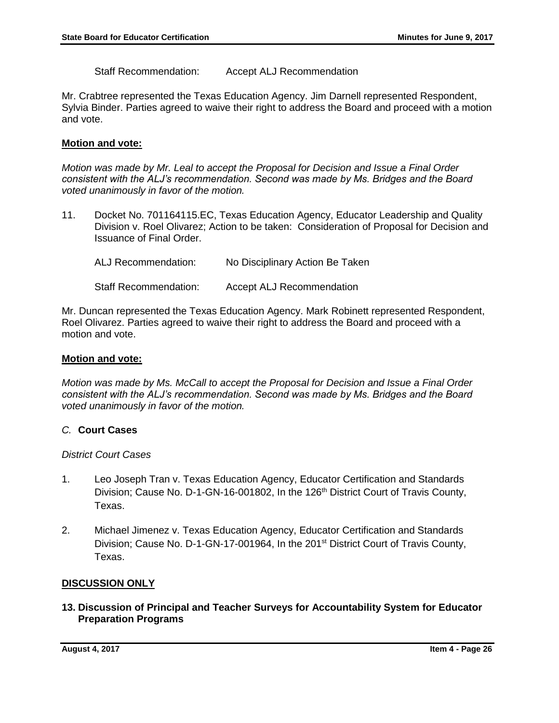Staff Recommendation: Accept ALJ Recommendation

Mr. Crabtree represented the Texas Education Agency. Jim Darnell represented Respondent, Sylvia Binder. Parties agreed to waive their right to address the Board and proceed with a motion and vote.

### **Motion and vote:**

*Motion was made by Mr. Leal to accept the Proposal for Decision and Issue a Final Order consistent with the ALJ's recommendation. Second was made by Ms. Bridges and the Board voted unanimously in favor of the motion.*

11. Docket No. 701164115.EC, Texas Education Agency, Educator Leadership and Quality Division v. Roel Olivarez; Action to be taken: Consideration of Proposal for Decision and Issuance of Final Order.

| ALJ Recommendation:          | No Disciplinary Action Be Taken  |
|------------------------------|----------------------------------|
| <b>Staff Recommendation:</b> | <b>Accept ALJ Recommendation</b> |

Mr. Duncan represented the Texas Education Agency. Mark Robinett represented Respondent, Roel Olivarez. Parties agreed to waive their right to address the Board and proceed with a motion and vote.

### **Motion and vote:**

*Motion was made by Ms. McCall to accept the Proposal for Decision and Issue a Final Order consistent with the ALJ's recommendation. Second was made by Ms. Bridges and the Board voted unanimously in favor of the motion.*

## *C.* **Court Cases**

*District Court Cases*

- 1. Leo Joseph Tran v. Texas Education Agency, Educator Certification and Standards Division; Cause No. D-1-GN-16-001802, In the 126<sup>th</sup> District Court of Travis County, Texas.
- 2. Michael Jimenez v. Texas Education Agency, Educator Certification and Standards Division; Cause No. D-1-GN-17-001964, In the 201<sup>st</sup> District Court of Travis County, Texas.

## **DISCUSSION ONLY**

**13. Discussion of Principal and Teacher Surveys for Accountability System for Educator Preparation Programs**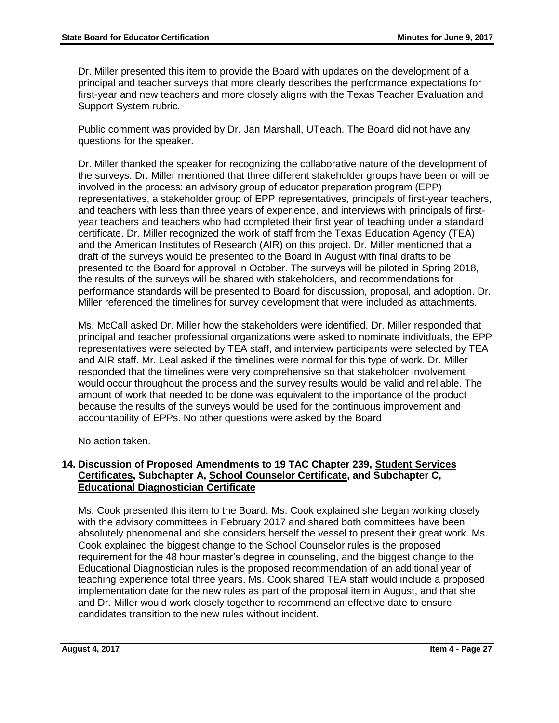Dr. Miller presented this item to provide the Board with updates on the development of a principal and teacher surveys that more clearly describes the performance expectations for first-year and new teachers and more closely aligns with the Texas Teacher Evaluation and Support System rubric.

Public comment was provided by Dr. Jan Marshall, UTeach. The Board did not have any questions for the speaker.

Dr. Miller thanked the speaker for recognizing the collaborative nature of the development of the surveys. Dr. Miller mentioned that three different stakeholder groups have been or will be involved in the process: an advisory group of educator preparation program (EPP) representatives, a stakeholder group of EPP representatives, principals of first-year teachers, and teachers with less than three years of experience, and interviews with principals of firstyear teachers and teachers who had completed their first year of teaching under a standard certificate. Dr. Miller recognized the work of staff from the Texas Education Agency (TEA) and the American Institutes of Research (AIR) on this project. Dr. Miller mentioned that a draft of the surveys would be presented to the Board in August with final drafts to be presented to the Board for approval in October. The surveys will be piloted in Spring 2018, the results of the surveys will be shared with stakeholders, and recommendations for performance standards will be presented to Board for discussion, proposal, and adoption. Dr. Miller referenced the timelines for survey development that were included as attachments.

Ms. McCall asked Dr. Miller how the stakeholders were identified. Dr. Miller responded that principal and teacher professional organizations were asked to nominate individuals, the EPP representatives were selected by TEA staff, and interview participants were selected by TEA and AIR staff. Mr. Leal asked if the timelines were normal for this type of work. Dr. Miller responded that the timelines were very comprehensive so that stakeholder involvement would occur throughout the process and the survey results would be valid and reliable. The amount of work that needed to be done was equivalent to the importance of the product because the results of the surveys would be used for the continuous improvement and accountability of EPPs. No other questions were asked by the Board

No action taken.

## **14. Discussion of Proposed Amendments to 19 TAC Chapter 239, Student Services Certificates, Subchapter A, School Counselor Certificate, and Subchapter C, Educational Diagnostician Certificate**

Ms. Cook presented this item to the Board. Ms. Cook explained she began working closely with the advisory committees in February 2017 and shared both committees have been absolutely phenomenal and she considers herself the vessel to present their great work. Ms. Cook explained the biggest change to the School Counselor rules is the proposed requirement for the 48 hour master's degree in counseling, and the biggest change to the Educational Diagnostician rules is the proposed recommendation of an additional year of teaching experience total three years. Ms. Cook shared TEA staff would include a proposed implementation date for the new rules as part of the proposal item in August, and that she and Dr. Miller would work closely together to recommend an effective date to ensure candidates transition to the new rules without incident.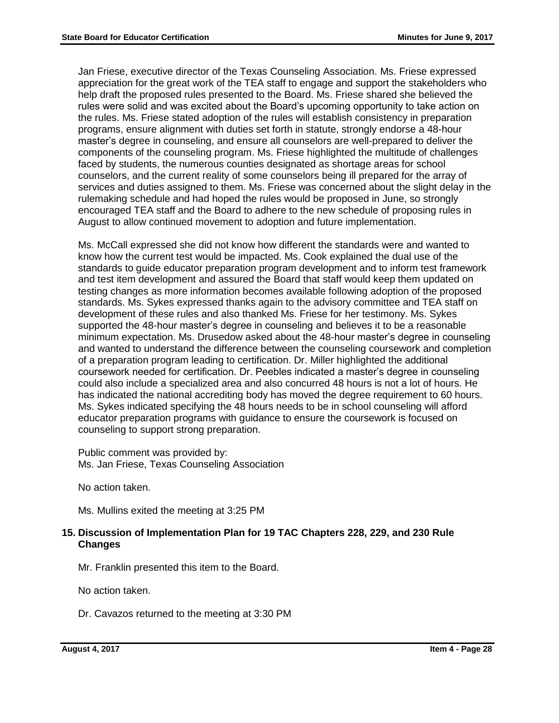Jan Friese, executive director of the Texas Counseling Association. Ms. Friese expressed appreciation for the great work of the TEA staff to engage and support the stakeholders who help draft the proposed rules presented to the Board. Ms. Friese shared she believed the rules were solid and was excited about the Board's upcoming opportunity to take action on the rules. Ms. Friese stated adoption of the rules will establish consistency in preparation programs, ensure alignment with duties set forth in statute, strongly endorse a 48-hour master's degree in counseling, and ensure all counselors are well-prepared to deliver the components of the counseling program. Ms. Friese highlighted the multitude of challenges faced by students, the numerous counties designated as shortage areas for school counselors, and the current reality of some counselors being ill prepared for the array of services and duties assigned to them. Ms. Friese was concerned about the slight delay in the rulemaking schedule and had hoped the rules would be proposed in June, so strongly encouraged TEA staff and the Board to adhere to the new schedule of proposing rules in August to allow continued movement to adoption and future implementation.

Ms. McCall expressed she did not know how different the standards were and wanted to know how the current test would be impacted. Ms. Cook explained the dual use of the standards to guide educator preparation program development and to inform test framework and test item development and assured the Board that staff would keep them updated on testing changes as more information becomes available following adoption of the proposed standards. Ms. Sykes expressed thanks again to the advisory committee and TEA staff on development of these rules and also thanked Ms. Friese for her testimony. Ms. Sykes supported the 48-hour master's degree in counseling and believes it to be a reasonable minimum expectation. Ms. Drusedow asked about the 48-hour master's degree in counseling and wanted to understand the difference between the counseling coursework and completion of a preparation program leading to certification. Dr. Miller highlighted the additional coursework needed for certification. Dr. Peebles indicated a master's degree in counseling could also include a specialized area and also concurred 48 hours is not a lot of hours. He has indicated the national accrediting body has moved the degree requirement to 60 hours. Ms. Sykes indicated specifying the 48 hours needs to be in school counseling will afford educator preparation programs with guidance to ensure the coursework is focused on counseling to support strong preparation.

Public comment was provided by: Ms. Jan Friese, Texas Counseling Association

No action taken.

Ms. Mullins exited the meeting at 3:25 PM

## **15. Discussion of Implementation Plan for 19 TAC Chapters 228, 229, and 230 Rule Changes**

Mr. Franklin presented this item to the Board.

No action taken.

Dr. Cavazos returned to the meeting at 3:30 PM